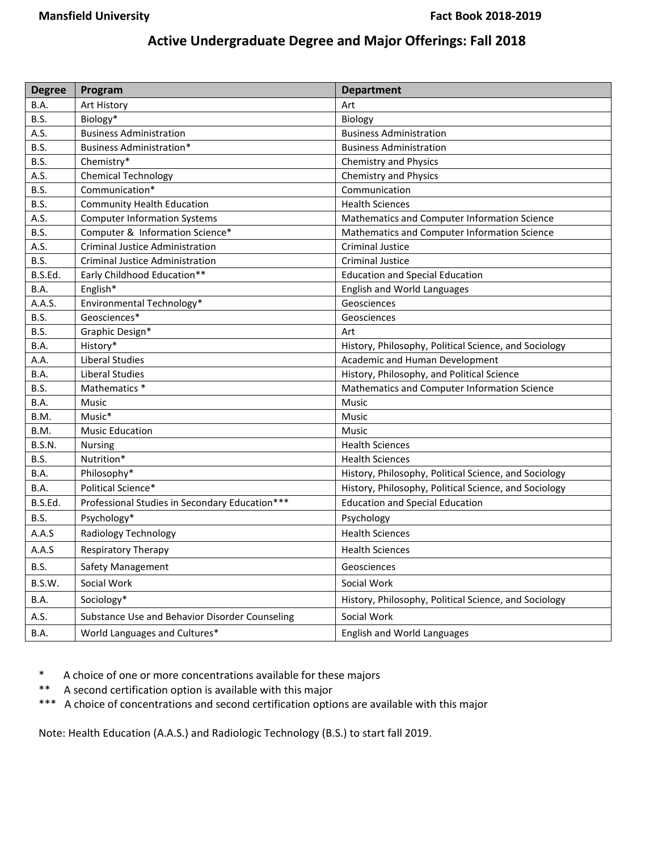## **Active Undergraduate Degree and Major Offerings: Fall 2018**

| <b>Degree</b> | Program                                        | <b>Department</b>                                     |
|---------------|------------------------------------------------|-------------------------------------------------------|
| <b>B.A.</b>   | Art History                                    | Art                                                   |
| B.S.          | Biology*                                       | Biology                                               |
| A.S.          | <b>Business Administration</b>                 | <b>Business Administration</b>                        |
| B.S.          | Business Administration*                       | <b>Business Administration</b>                        |
| B.S.          | Chemistry*                                     | <b>Chemistry and Physics</b>                          |
| A.S.          | <b>Chemical Technology</b>                     | <b>Chemistry and Physics</b>                          |
| B.S.          | Communication*                                 | Communication                                         |
| B.S.          | <b>Community Health Education</b>              | <b>Health Sciences</b>                                |
| A.S.          | <b>Computer Information Systems</b>            | Mathematics and Computer Information Science          |
| B.S.          | Computer & Information Science*                | Mathematics and Computer Information Science          |
| A.S.          | <b>Criminal Justice Administration</b>         | <b>Criminal Justice</b>                               |
| B.S.          | Criminal Justice Administration                | <b>Criminal Justice</b>                               |
| B.S.Ed.       | Early Childhood Education**                    | <b>Education and Special Education</b>                |
| B.A.          | English*                                       | English and World Languages                           |
| A.A.S.        | Environmental Technology*                      | Geosciences                                           |
| B.S.          | Geosciences*                                   | Geosciences                                           |
| B.S.          | Graphic Design*                                | Art                                                   |
| <b>B.A.</b>   | History*                                       | History, Philosophy, Political Science, and Sociology |
| A.A.          | Liberal Studies                                | Academic and Human Development                        |
| B.A.          | Liberal Studies                                | History, Philosophy, and Political Science            |
| B.S.          | Mathematics *                                  | Mathematics and Computer Information Science          |
| B.A.          | Music                                          | <b>Music</b>                                          |
| B.M.          | Music*                                         | Music                                                 |
| B.M.          | <b>Music Education</b>                         | <b>Music</b>                                          |
| B.S.N.        | <b>Nursing</b>                                 | <b>Health Sciences</b>                                |
| B.S.          | Nutrition*                                     | <b>Health Sciences</b>                                |
| B.A.          | Philosophy*                                    | History, Philosophy, Political Science, and Sociology |
| B.A.          | Political Science*                             | History, Philosophy, Political Science, and Sociology |
| B.S.Ed.       | Professional Studies in Secondary Education*** | <b>Education and Special Education</b>                |
| B.S.          | Psychology*                                    | Psychology                                            |
| A.A.S         | Radiology Technology                           | <b>Health Sciences</b>                                |
| A.A.S         | Respiratory Therapy                            | <b>Health Sciences</b>                                |
| B.S.          | Safety Management                              | Geosciences                                           |
| B.S.W.        | Social Work                                    | Social Work                                           |
| B.A.          | Sociology*                                     | History, Philosophy, Political Science, and Sociology |
| A.S.          | Substance Use and Behavior Disorder Counseling | Social Work                                           |
| B.A.          | World Languages and Cultures*                  | English and World Languages                           |

\* A choice of one or more concentrations available for these majors

- \*\* A second certification option is available with this major
- \*\*\* A choice of concentrations and second certification options are available with this major

Note: Health Education (A.A.S.) and Radiologic Technology (B.S.) to start fall 2019.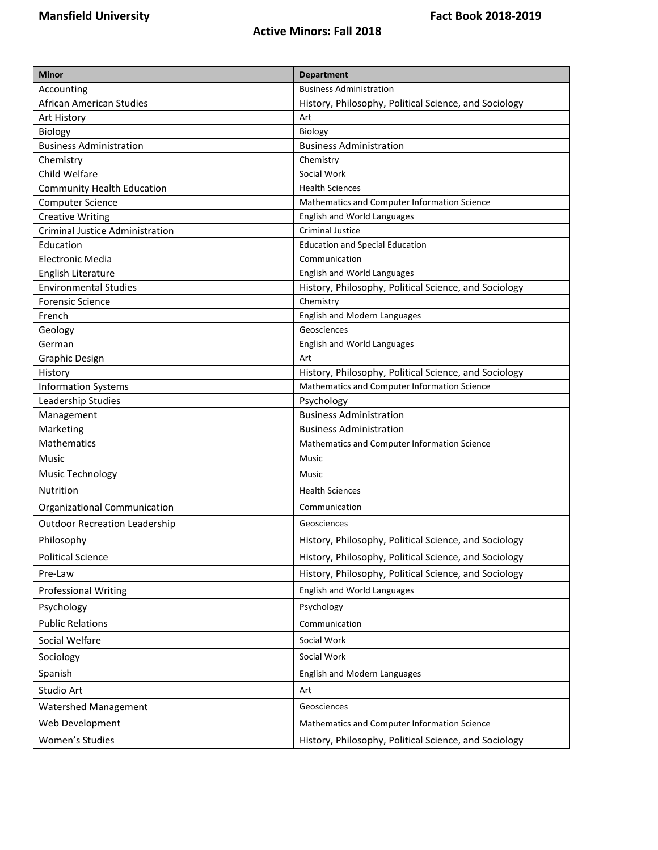| <b>Minor</b>                           |                                                       |  |
|----------------------------------------|-------------------------------------------------------|--|
| Accounting                             | <b>Department</b><br><b>Business Administration</b>   |  |
| African American Studies               | History, Philosophy, Political Science, and Sociology |  |
| Art History                            | Art                                                   |  |
| Biology                                | Biology                                               |  |
| <b>Business Administration</b>         | <b>Business Administration</b>                        |  |
| Chemistry                              | Chemistry                                             |  |
| Child Welfare                          | Social Work                                           |  |
| <b>Community Health Education</b>      | <b>Health Sciences</b>                                |  |
| <b>Computer Science</b>                | Mathematics and Computer Information Science          |  |
| <b>Creative Writing</b>                | English and World Languages                           |  |
| <b>Criminal Justice Administration</b> | <b>Criminal Justice</b>                               |  |
| Education                              | <b>Education and Special Education</b>                |  |
| <b>Electronic Media</b>                | Communication                                         |  |
| English Literature                     | English and World Languages                           |  |
| <b>Environmental Studies</b>           | History, Philosophy, Political Science, and Sociology |  |
| <b>Forensic Science</b>                | Chemistry                                             |  |
| French                                 | English and Modern Languages                          |  |
| Geology                                | Geosciences                                           |  |
| German                                 | English and World Languages                           |  |
| Graphic Design                         | Art                                                   |  |
| History                                | History, Philosophy, Political Science, and Sociology |  |
| <b>Information Systems</b>             | Mathematics and Computer Information Science          |  |
| Leadership Studies                     | Psychology                                            |  |
| Management                             | <b>Business Administration</b>                        |  |
| Marketing                              | <b>Business Administration</b>                        |  |
| <b>Mathematics</b>                     | Mathematics and Computer Information Science          |  |
| Music                                  | Music                                                 |  |
| Music Technology                       | <b>Music</b>                                          |  |
| Nutrition                              | <b>Health Sciences</b>                                |  |
| Organizational Communication           | Communication                                         |  |
| <b>Outdoor Recreation Leadership</b>   | Geosciences                                           |  |
| Philosophy                             | History, Philosophy, Political Science, and Sociology |  |
| <b>Political Science</b>               | History, Philosophy, Political Science, and Sociology |  |
| Pre-Law                                | History, Philosophy, Political Science, and Sociology |  |
| <b>Professional Writing</b>            | English and World Languages                           |  |
| Psychology                             | Psychology                                            |  |
| <b>Public Relations</b>                | Communication                                         |  |
| Social Welfare                         | Social Work                                           |  |
| Sociology                              | Social Work                                           |  |
| Spanish                                | English and Modern Languages                          |  |
| Studio Art                             | Art                                                   |  |
| Watershed Management                   | Geosciences                                           |  |
| Web Development                        | Mathematics and Computer Information Science          |  |
| Women's Studies                        | History, Philosophy, Political Science, and Sociology |  |